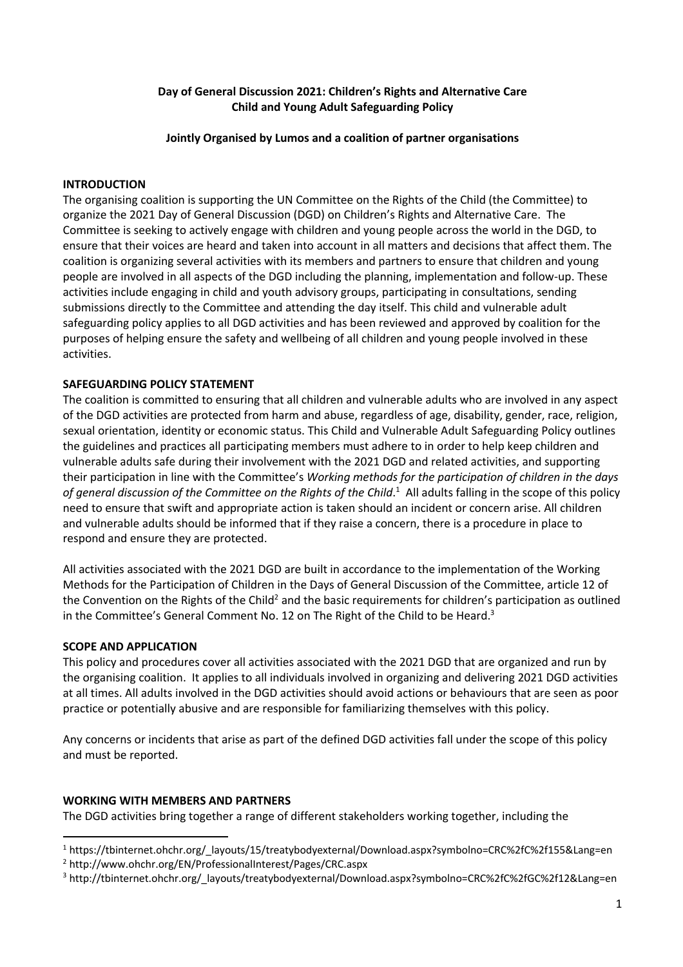## **Day of General Discussion 2021: Children's Rights and Alternative Care Child and Young Adult Safeguarding Policy**

## **Jointly Organised by Lumos and a coalition of partner organisations**

## **INTRODUCTION**

The organising coalition is supporting the UN Committee on the Rights of the Child (the Committee) to organize the 2021 Day of General Discussion (DGD) on Children's Rights and Alternative Care. The Committee is seeking to actively engage with children and young people across the world in the DGD, to ensure that their voices are heard and taken into account in all matters and decisions that affect them. The coalition is organizing several activities with its members and partners to ensure that children and young people are involved in all aspects of the DGD including the planning, implementation and follow-up. These activities include engaging in child and youth advisory groups, participating in consultations, sending submissions directly to the Committee and attending the day itself. This child and vulnerable adult safeguarding policy applies to all DGD activities and has been reviewed and approved by coalition for the purposes of helping ensure the safety and wellbeing of all children and young people involved in these activities.

# **SAFEGUARDING POLICY STATEMENT**

The coalition is committed to ensuring that all children and vulnerable adults who are involved in any aspect of the DGD activities are protected from harm and abuse, regardless of age, disability, gender, race, religion, sexual orientation, identity or economic status. This Child and Vulnerable Adult Safeguarding Policy outlines the guidelines and practices all participating members must adhere to in order to help keep children and vulnerable adults safe during their involvement with the 2021 DGD and related activities, and supporting their participation in line with the Committee's *Working methods for the participation of children in the days*  of general discussion of the Committee on the Rights of the Child.<sup>1</sup> All adults falling in the scope of this policy need to ensure that swift and appropriate action is taken should an incident or concern arise. All children and vulnerable adults should be informed that if they raise a concern, there is a procedure in place to respond and ensure they are protected.

All activities associated with the 2021 DGD are built in accordance to the implementation of the Working Methods for the Participation of Children in the Days of General Discussion of the Committee, article 12 of the Convention on the Rights of the Child<sup>2</sup> and the basic requirements for children's participation as outlined in the Committee's General Comment No. 12 on The Right of the Child to be Heard.<sup>3</sup>

## **SCOPE AND APPLICATION**

This policy and procedures cover all activities associated with the 2021 DGD that are organized and run by the organising coalition. It applies to all individuals involved in organizing and delivering 2021 DGD activities at all times. All adults involved in the DGD activities should avoid actions or behaviours that are seen as poor practice or potentially abusive and are responsible for familiarizing themselves with this policy.

Any concerns or incidents that arise as part of the defined DGD activities fall under the scope of this policy and must be reported.

## **WORKING WITH MEMBERS AND PARTNERS**

The DGD activities bring together a range of different stakeholders working together, including the

<sup>1</sup> https://tbinternet.ohchr.org/\_layouts/15/treatybodyexternal/Download.aspx?symbolno=CRC%2fC%2f155&Lang=en

<sup>2</sup> http://www.ohchr.org/EN/ProfessionalInterest/Pages/CRC.aspx

<sup>3</sup> http://tbinternet.ohchr.org/\_layouts/treatybodyexternal/Download.aspx?symbolno=CRC%2fC%2fGC%2f12&Lang=en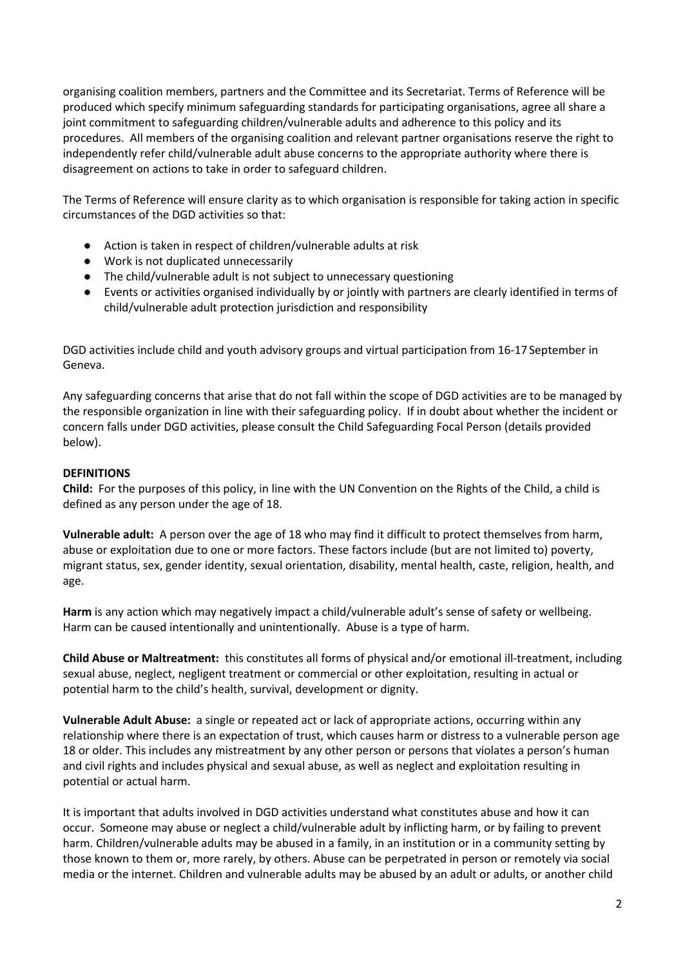organising coalition members, partners and the Committee and its Secretariat. Terms of Reference will be produced which specify minimum safeguarding standards for participating organisations, agree all share a joint commitment to safeguarding children/vulnerable adults and adherence to this policy and its procedures. All members of the organising coalition and relevant partner organisations reserve the right to independently refer child/vulnerable adult abuse concerns to the appropriate authority where there is disagreement on actions to take in order to safeguard children.

The Terms of Reference will ensure clarity as to which organisation is responsible for taking action in specific circumstances of the DGD activities so that:

- Action is taken in respect of children/vulnerable adults at risk
- Work is not duplicated unnecessarily
- The child/vulnerable adult is not subject to unnecessary questioning
- Events or activities organised individually by or jointly with partners are clearly identified in terms of child/vulnerable adult protection jurisdiction and responsibility

DGD activities include child and youth advisory groups and virtual participation from 16-17 September in Geneva.

Any safeguarding concerns that arise that do not fall within the scope of DGD activities are to be managed by the responsible organization in line with their safeguarding policy. If in doubt about whether the incident or concern falls under DGD activities, please consult the Child Safeguarding Focal Person (details provided below).

# **DEFINITIONS**

**Child:** For the purposes of this policy, in line with the UN Convention on the Rights of the Child, a child is defined as any person under the age of 18.

**Vulnerable adult:** A person over the age of 18 who may find it difficult to protect themselves from harm, abuse or exploitation due to one or more factors. These factors include (but are not limited to) poverty, migrant status, sex, gender identity, sexual orientation, disability, mental health, caste, religion, health, and age.

**Harm** is any action which may negatively impact a child/vulnerable adult's sense of safety or wellbeing. Harm can be caused intentionally and unintentionally. Abuse is a type of harm.

**Child Abuse or Maltreatment:** this constitutes all forms of physical and/or emotional ill-treatment, including sexual abuse, neglect, negligent treatment or commercial or other exploitation, resulting in actual or potential harm to the child's health, survival, development or dignity.

**Vulnerable Adult Abuse:** a single or repeated act or lack of appropriate actions, occurring within any relationship where there is an expectation of trust, which causes harm or distress to a vulnerable person age 18 or older. This includes any mistreatment by any other person or persons that violates a person's human and civil rights and includes physical and sexual abuse, as well as neglect and exploitation resulting in potential or actual harm.

It is important that adults involved in DGD activities understand what constitutes abuse and how it can occur. Someone may abuse or neglect a child/vulnerable adult by inflicting harm, or by failing to prevent harm. Children/vulnerable adults may be abused in a family, in an institution or in a community setting by those known to them or, more rarely, by others. Abuse can be perpetrated in person or remotely via social media or the internet. Children and vulnerable adults may be abused by an adult or adults, or another child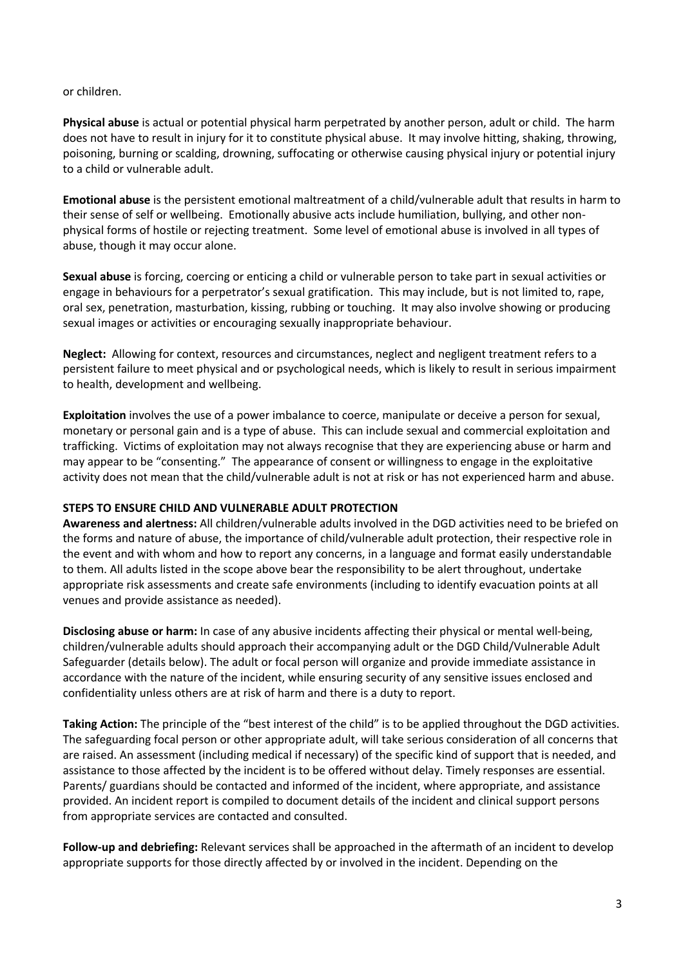## or children.

**Physical abuse** is actual or potential physical harm perpetrated by another person, adult or child. The harm does not have to result in injury for it to constitute physical abuse. It may involve hitting, shaking, throwing, poisoning, burning or scalding, drowning, suffocating or otherwise causing physical injury or potential injury to a child or vulnerable adult.

**Emotional abuse** is the persistent emotional maltreatment of a child/vulnerable adult that results in harm to their sense of self or wellbeing. Emotionally abusive acts include humiliation, bullying, and other nonphysical forms of hostile or rejecting treatment. Some level of emotional abuse is involved in all types of abuse, though it may occur alone.

**Sexual abuse** is forcing, coercing or enticing a child or vulnerable person to take part in sexual activities or engage in behaviours for a perpetrator's sexual gratification. This may include, but is not limited to, rape, oral sex, penetration, masturbation, kissing, rubbing or touching. It may also involve showing or producing sexual images or activities or encouraging sexually inappropriate behaviour.

**Neglect:** Allowing for context, resources and circumstances, neglect and negligent treatment refers to a persistent failure to meet physical and or psychological needs, which is likely to result in serious impairment to health, development and wellbeing.

**Exploitation** involves the use of a power imbalance to coerce, manipulate or deceive a person for sexual, monetary or personal gain and is a type of abuse. This can include sexual and commercial exploitation and trafficking. Victims of exploitation may not always recognise that they are experiencing abuse or harm and may appear to be "consenting." The appearance of consent or willingness to engage in the exploitative activity does not mean that the child/vulnerable adult is not at risk or has not experienced harm and abuse.

## **STEPS TO ENSURE CHILD AND VULNERABLE ADULT PROTECTION**

**Awareness and alertness:** All children/vulnerable adults involved in the DGD activities need to be briefed on the forms and nature of abuse, the importance of child/vulnerable adult protection, their respective role in the event and with whom and how to report any concerns, in a language and format easily understandable to them. All adults listed in the scope above bear the responsibility to be alert throughout, undertake appropriate risk assessments and create safe environments (including to identify evacuation points at all venues and provide assistance as needed).

**Disclosing abuse or harm:** In case of any abusive incidents affecting their physical or mental well-being, children/vulnerable adults should approach their accompanying adult or the DGD Child/Vulnerable Adult Safeguarder (details below). The adult or focal person will organize and provide immediate assistance in accordance with the nature of the incident, while ensuring security of any sensitive issues enclosed and confidentiality unless others are at risk of harm and there is a duty to report.

**Taking Action:** The principle of the "best interest of the child" is to be applied throughout the DGD activities. The safeguarding focal person or other appropriate adult, will take serious consideration of all concerns that are raised. An assessment (including medical if necessary) of the specific kind of support that is needed, and assistance to those affected by the incident is to be offered without delay. Timely responses are essential. Parents/ guardians should be contacted and informed of the incident, where appropriate, and assistance provided. An incident report is compiled to document details of the incident and clinical support persons from appropriate services are contacted and consulted.

**Follow-up and debriefing:** Relevant services shall be approached in the aftermath of an incident to develop appropriate supports for those directly affected by or involved in the incident. Depending on the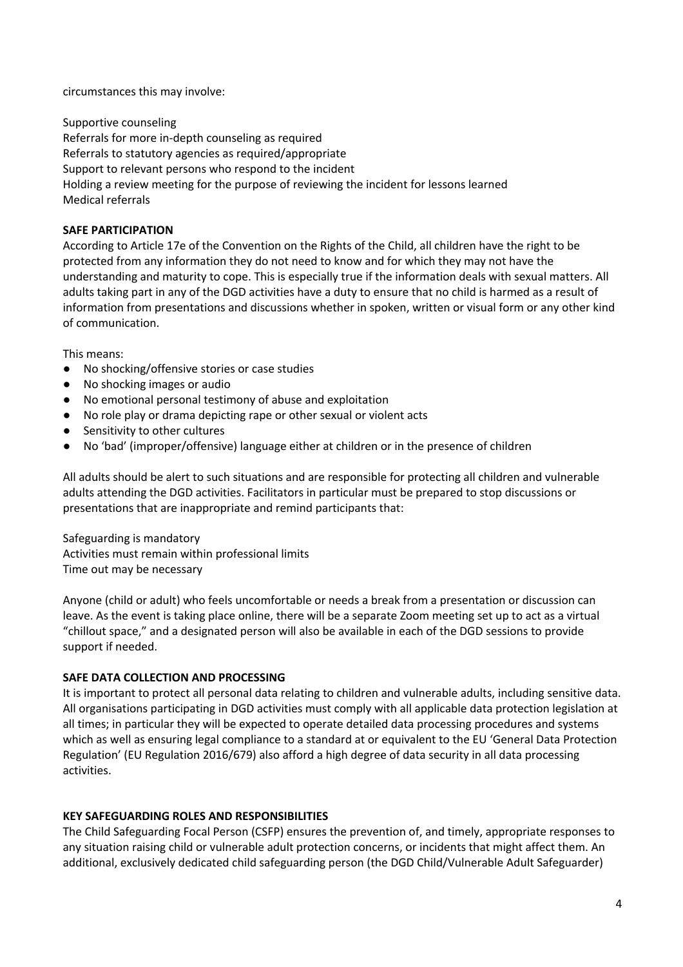circumstances this may involve:

Supportive counseling Referrals for more in-depth counseling as required Referrals to statutory agencies as required/appropriate Support to relevant persons who respond to the incident Holding a review meeting for the purpose of reviewing the incident for lessons learned Medical referrals

## **SAFE PARTICIPATION**

According to Article 17e of the Convention on the Rights of the Child, all children have the right to be protected from any information they do not need to know and for which they may not have the understanding and maturity to cope. This is especially true if the information deals with sexual matters. All adults taking part in any of the DGD activities have a duty to ensure that no child is harmed as a result of information from presentations and discussions whether in spoken, written or visual form or any other kind of communication.

This means:

- No shocking/offensive stories or case studies
- No shocking images or audio
- No emotional personal testimony of abuse and exploitation
- No role play or drama depicting rape or other sexual or violent acts
- Sensitivity to other cultures
- No 'bad' (improper/offensive) language either at children or in the presence of children

All adults should be alert to such situations and are responsible for protecting all children and vulnerable adults attending the DGD activities. Facilitators in particular must be prepared to stop discussions or presentations that are inappropriate and remind participants that:

Safeguarding is mandatory Activities must remain within professional limits Time out may be necessary

Anyone (child or adult) who feels uncomfortable or needs a break from a presentation or discussion can leave. As the event is taking place online, there will be a separate Zoom meeting set up to act as a virtual "chillout space," and a designated person will also be available in each of the DGD sessions to provide support if needed.

## **SAFE DATA COLLECTION AND PROCESSING**

It is important to protect all personal data relating to children and vulnerable adults, including sensitive data. All organisations participating in DGD activities must comply with all applicable data protection legislation at all times; in particular they will be expected to operate detailed data processing procedures and systems which as well as ensuring legal compliance to a standard at or equivalent to the EU 'General Data Protection Regulation' (EU Regulation 2016/679) also afford a high degree of data security in all data processing activities.

## **KEY SAFEGUARDING ROLES AND RESPONSIBILITIES**

The Child Safeguarding Focal Person (CSFP) ensures the prevention of, and timely, appropriate responses to any situation raising child or vulnerable adult protection concerns, or incidents that might affect them. An additional, exclusively dedicated child safeguarding person (the DGD Child/Vulnerable Adult Safeguarder)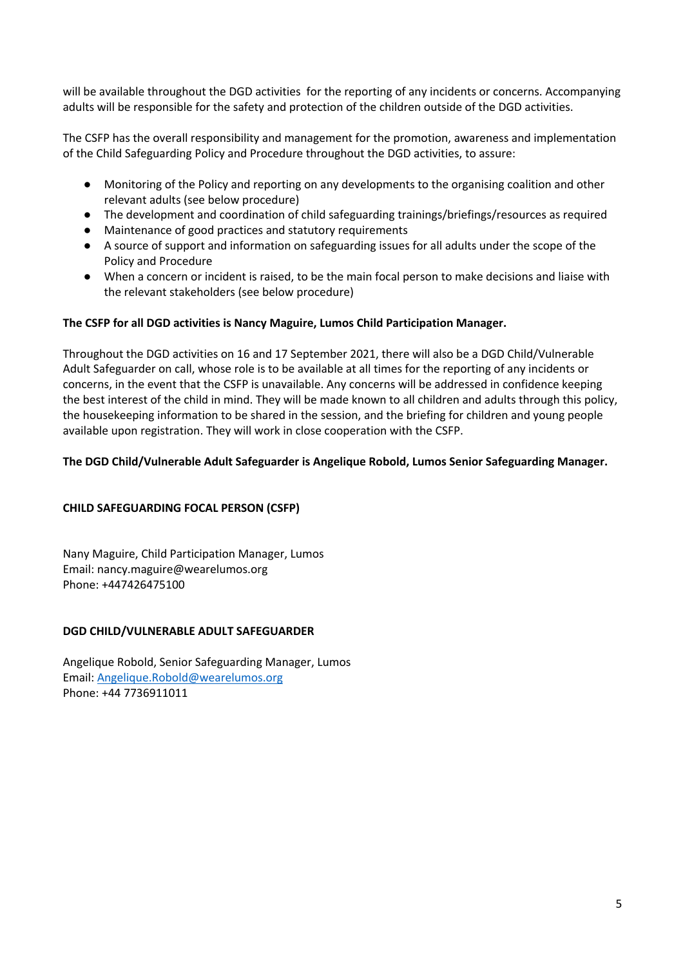will be available throughout the DGD activities for the reporting of any incidents or concerns. Accompanying adults will be responsible for the safety and protection of the children outside of the DGD activities.

The CSFP has the overall responsibility and management for the promotion, awareness and implementation of the Child Safeguarding Policy and Procedure throughout the DGD activities, to assure:

- Monitoring of the Policy and reporting on any developments to the organising coalition and other relevant adults (see below procedure)
- The development and coordination of child safeguarding trainings/briefings/resources as required
- Maintenance of good practices and statutory requirements
- A source of support and information on safeguarding issues for all adults under the scope of the Policy and Procedure
- When a concern or incident is raised, to be the main focal person to make decisions and liaise with the relevant stakeholders (see below procedure)

## **The CSFP for all DGD activities is Nancy Maguire, Lumos Child Participation Manager.**

Throughout the DGD activities on 16 and 17 September 2021, there will also be a DGD Child/Vulnerable Adult Safeguarder on call, whose role is to be available at all times for the reporting of any incidents or concerns, in the event that the CSFP is unavailable. Any concerns will be addressed in confidence keeping the best interest of the child in mind. They will be made known to all children and adults through this policy, the housekeeping information to be shared in the session, and the briefing for children and young people available upon registration. They will work in close cooperation with the CSFP.

## **The DGD Child/Vulnerable Adult Safeguarder is Angelique Robold, Lumos Senior Safeguarding Manager.**

## **CHILD SAFEGUARDING FOCAL PERSON (CSFP)**

Nany Maguire, Child Participation Manager, Lumos Email: nancy.maguire@wearelumos.org Phone: +447426475100

## **DGD CHILD/VULNERABLE ADULT SAFEGUARDER**

Angelique Robold, Senior Safeguarding Manager, Lumos Email: Angelique.Robold@wearelumos.org Phone: +44 7736911011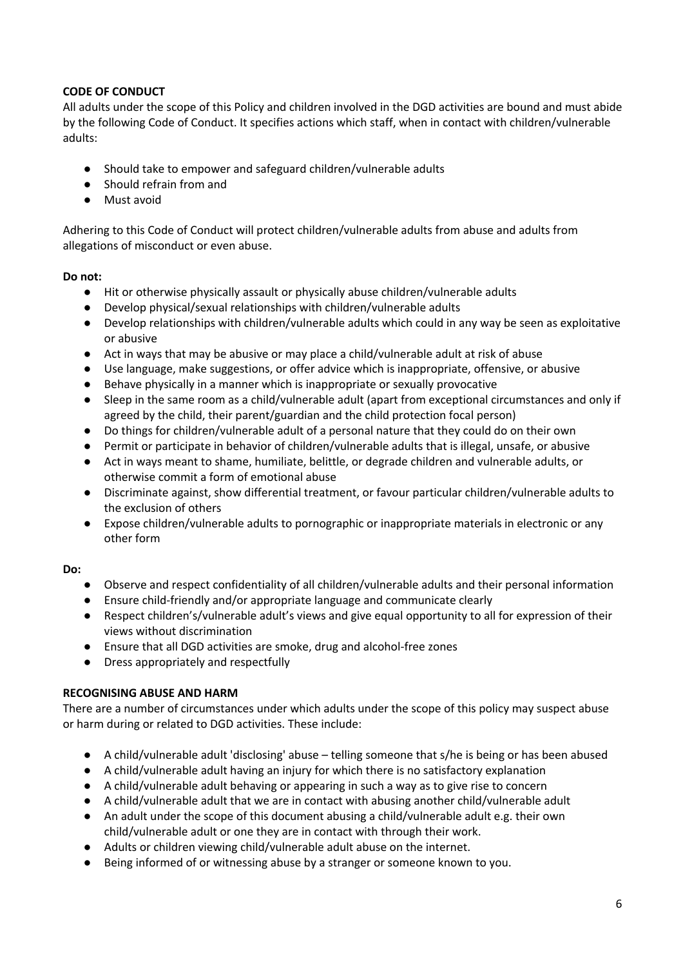# **CODE OF CONDUCT**

All adults under the scope of this Policy and children involved in the DGD activities are bound and must abide by the following Code of Conduct. It specifies actions which staff, when in contact with children/vulnerable adults:

- Should take to empower and safeguard children/vulnerable adults
- Should refrain from and
- Must avoid

Adhering to this Code of Conduct will protect children/vulnerable adults from abuse and adults from allegations of misconduct or even abuse.

## **Do not:**

- Hit or otherwise physically assault or physically abuse children/vulnerable adults
- Develop physical/sexual relationships with children/vulnerable adults
- Develop relationships with children/vulnerable adults which could in any way be seen as exploitative or abusive
- Act in ways that may be abusive or may place a child/vulnerable adult at risk of abuse
- Use language, make suggestions, or offer advice which is inappropriate, offensive, or abusive
- Behave physically in a manner which is inappropriate or sexually provocative
- Sleep in the same room as a child/vulnerable adult (apart from exceptional circumstances and only if agreed by the child, their parent/guardian and the child protection focal person)
- Do things for children/vulnerable adult of a personal nature that they could do on their own
- Permit or participate in behavior of children/vulnerable adults that is illegal, unsafe, or abusive
- Act in ways meant to shame, humiliate, belittle, or degrade children and vulnerable adults, or otherwise commit a form of emotional abuse
- Discriminate against, show differential treatment, or favour particular children/vulnerable adults to the exclusion of others
- Expose children/vulnerable adults to pornographic or inappropriate materials in electronic or any other form

## **Do:**

- Observe and respect confidentiality of all children/vulnerable adults and their personal information
- Ensure child-friendly and/or appropriate language and communicate clearly
- Respect children's/vulnerable adult's views and give equal opportunity to all for expression of their views without discrimination
- Ensure that all DGD activities are smoke, drug and alcohol-free zones
- Dress appropriately and respectfully

# **RECOGNISING ABUSE AND HARM**

There are a number of circumstances under which adults under the scope of this policy may suspect abuse or harm during or related to DGD activities. These include:

- A child/vulnerable adult 'disclosing' abuse telling someone that s/he is being or has been abused
- A child/vulnerable adult having an injury for which there is no satisfactory explanation
- A child/vulnerable adult behaving or appearing in such a way as to give rise to concern
- A child/vulnerable adult that we are in contact with abusing another child/vulnerable adult
- An adult under the scope of this document abusing a child/vulnerable adult e.g. their own child/vulnerable adult or one they are in contact with through their work.
- Adults or children viewing child/vulnerable adult abuse on the internet.
- Being informed of or witnessing abuse by a stranger or someone known to you.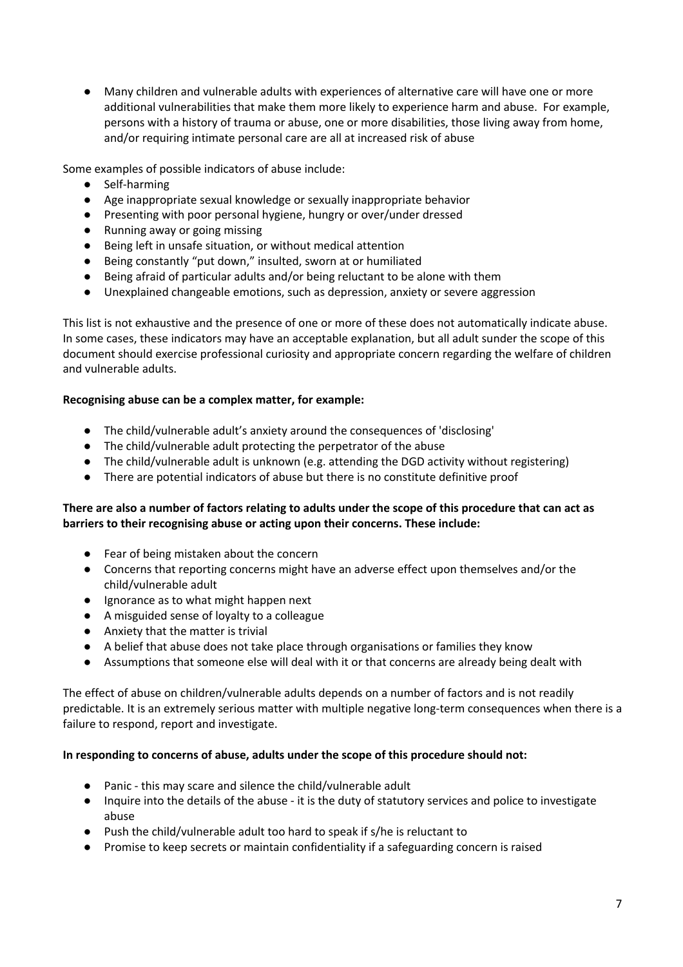● Many children and vulnerable adults with experiences of alternative care will have one or more additional vulnerabilities that make them more likely to experience harm and abuse. For example, persons with a history of trauma or abuse, one or more disabilities, those living away from home, and/or requiring intimate personal care are all at increased risk of abuse

Some examples of possible indicators of abuse include:

- Self-harming
- Age inappropriate sexual knowledge or sexually inappropriate behavior
- Presenting with poor personal hygiene, hungry or over/under dressed
- Running away or going missing
- Being left in unsafe situation, or without medical attention
- Being constantly "put down," insulted, sworn at or humiliated
- Being afraid of particular adults and/or being reluctant to be alone with them
- Unexplained changeable emotions, such as depression, anxiety or severe aggression

This list is not exhaustive and the presence of one or more of these does not automatically indicate abuse. In some cases, these indicators may have an acceptable explanation, but all adult sunder the scope of this document should exercise professional curiosity and appropriate concern regarding the welfare of children and vulnerable adults.

## **Recognising abuse can be a complex matter, for example:**

- The child/vulnerable adult's anxiety around the consequences of 'disclosing'
- The child/vulnerable adult protecting the perpetrator of the abuse
- The child/vulnerable adult is unknown (e.g. attending the DGD activity without registering)
- There are potential indicators of abuse but there is no constitute definitive proof

## **There are also a number of factors relating to adults under the scope of this procedure that can act as barriers to their recognising abuse or acting upon their concerns. These include:**

- Fear of being mistaken about the concern
- Concerns that reporting concerns might have an adverse effect upon themselves and/or the child/vulnerable adult
- Ignorance as to what might happen next
- A misguided sense of loyalty to a colleague
- Anxiety that the matter is trivial
- A belief that abuse does not take place through organisations or families they know
- Assumptions that someone else will deal with it or that concerns are already being dealt with

The effect of abuse on children/vulnerable adults depends on a number of factors and is not readily predictable. It is an extremely serious matter with multiple negative long-term consequences when there is a failure to respond, report and investigate.

## **In responding to concerns of abuse, adults under the scope of this procedure should not:**

- Panic this may scare and silence the child/vulnerable adult
- Inquire into the details of the abuse it is the duty of statutory services and police to investigate abuse
- Push the child/vulnerable adult too hard to speak if s/he is reluctant to
- Promise to keep secrets or maintain confidentiality if a safeguarding concern is raised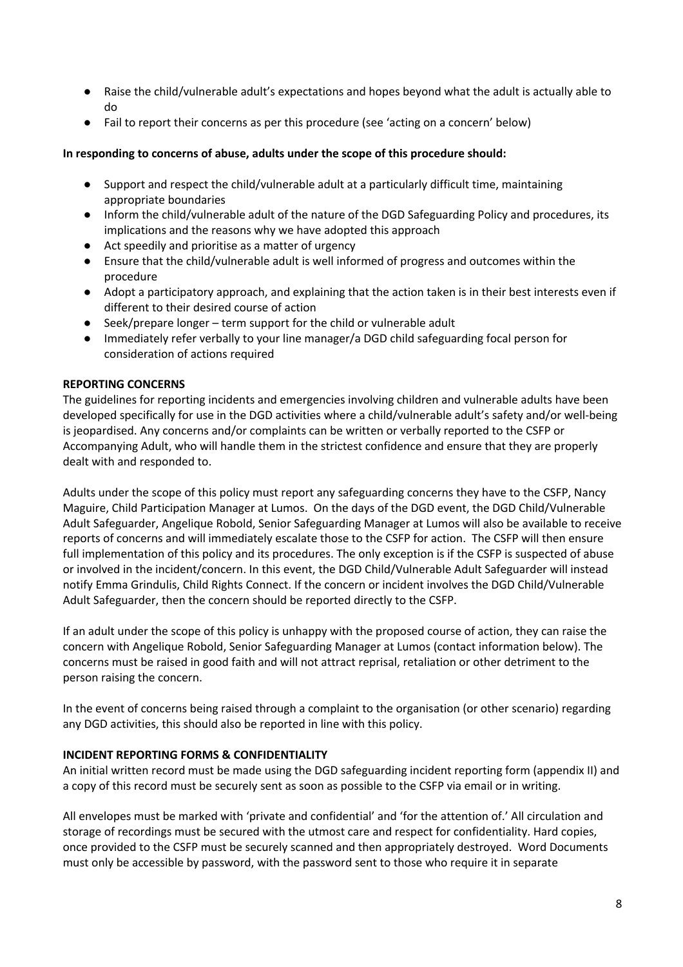- Raise the child/vulnerable adult's expectations and hopes beyond what the adult is actually able to do
- Fail to report their concerns as per this procedure (see 'acting on a concern' below)

## **In responding to concerns of abuse, adults under the scope of this procedure should:**

- Support and respect the child/vulnerable adult at a particularly difficult time, maintaining appropriate boundaries
- Inform the child/vulnerable adult of the nature of the DGD Safeguarding Policy and procedures, its implications and the reasons why we have adopted this approach
- Act speedily and prioritise as a matter of urgency
- Ensure that the child/vulnerable adult is well informed of progress and outcomes within the procedure
- Adopt a participatory approach, and explaining that the action taken is in their best interests even if different to their desired course of action
- Seek/prepare longer term support for the child or vulnerable adult
- Immediately refer verbally to your line manager/a DGD child safeguarding focal person for consideration of actions required

## **REPORTING CONCERNS**

The guidelines for reporting incidents and emergencies involving children and vulnerable adults have been developed specifically for use in the DGD activities where a child/vulnerable adult's safety and/or well-being is jeopardised. Any concerns and/or complaints can be written or verbally reported to the CSFP or Accompanying Adult, who will handle them in the strictest confidence and ensure that they are properly dealt with and responded to.

Adults under the scope of this policy must report any safeguarding concerns they have to the CSFP, Nancy Maguire, Child Participation Manager at Lumos. On the days of the DGD event, the DGD Child/Vulnerable Adult Safeguarder, Angelique Robold, Senior Safeguarding Manager at Lumos will also be available to receive reports of concerns and will immediately escalate those to the CSFP for action. The CSFP will then ensure full implementation of this policy and its procedures. The only exception is if the CSFP is suspected of abuse or involved in the incident/concern. In this event, the DGD Child/Vulnerable Adult Safeguarder will instead notify Emma Grindulis, Child Rights Connect. If the concern or incident involves the DGD Child/Vulnerable Adult Safeguarder, then the concern should be reported directly to the CSFP.

If an adult under the scope of this policy is unhappy with the proposed course of action, they can raise the concern with Angelique Robold, Senior Safeguarding Manager at Lumos (contact information below). The concerns must be raised in good faith and will not attract reprisal, retaliation or other detriment to the person raising the concern.

In the event of concerns being raised through a complaint to the organisation (or other scenario) regarding any DGD activities, this should also be reported in line with this policy.

## **INCIDENT REPORTING FORMS & CONFIDENTIALITY**

An initial written record must be made using the DGD safeguarding incident reporting form (appendix II) and a copy of this record must be securely sent as soon as possible to the CSFP via email or in writing.

All envelopes must be marked with 'private and confidential' and 'for the attention of.' All circulation and storage of recordings must be secured with the utmost care and respect for confidentiality. Hard copies, once provided to the CSFP must be securely scanned and then appropriately destroyed. Word Documents must only be accessible by password, with the password sent to those who require it in separate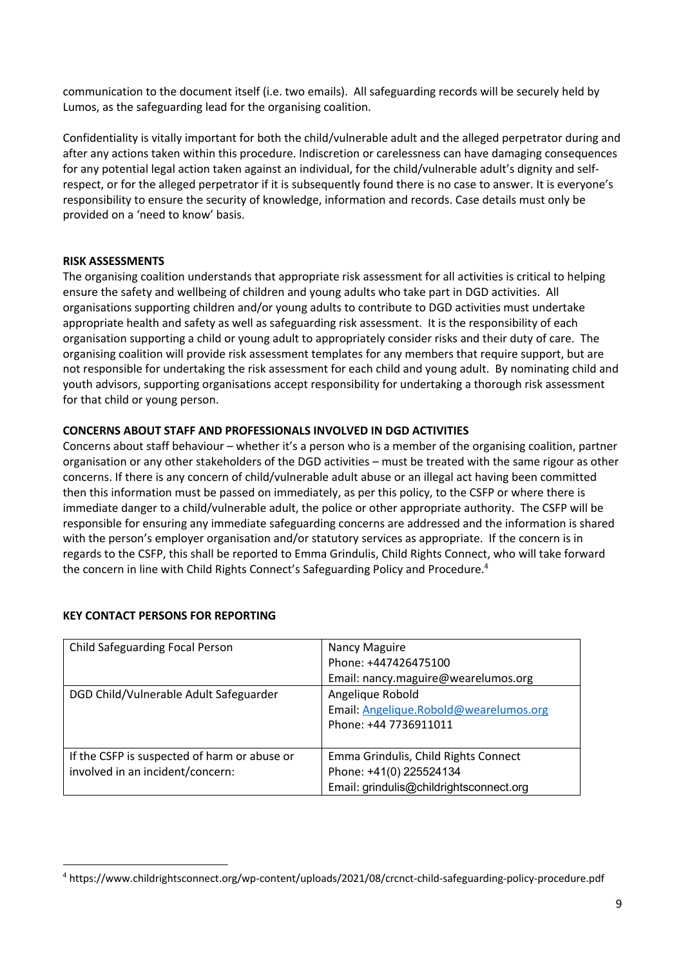communication to the document itself (i.e. two emails). All safeguarding records will be securely held by Lumos, as the safeguarding lead for the organising coalition.

Confidentiality is vitally important for both the child/vulnerable adult and the alleged perpetrator during and after any actions taken within this procedure. Indiscretion or carelessness can have damaging consequences for any potential legal action taken against an individual, for the child/vulnerable adult's dignity and selfrespect, or for the alleged perpetrator if it is subsequently found there is no case to answer. It is everyone's responsibility to ensure the security of knowledge, information and records. Case details must only be provided on a 'need to know' basis.

## **RISK ASSESSMENTS**

The organising coalition understands that appropriate risk assessment for all activities is critical to helping ensure the safety and wellbeing of children and young adults who take part in DGD activities. All organisations supporting children and/or young adults to contribute to DGD activities must undertake appropriate health and safety as well as safeguarding risk assessment. It is the responsibility of each organisation supporting a child or young adult to appropriately consider risks and their duty of care. The organising coalition will provide risk assessment templates for any members that require support, but are not responsible for undertaking the risk assessment for each child and young adult. By nominating child and youth advisors, supporting organisations accept responsibility for undertaking a thorough risk assessment for that child or young person.

## **CONCERNS ABOUT STAFF AND PROFESSIONALS INVOLVED IN DGD ACTIVITIES**

Concerns about staff behaviour – whether it's a person who is a member of the organising coalition, partner organisation or any other stakeholders of the DGD activities – must be treated with the same rigour as other concerns. If there is any concern of child/vulnerable adult abuse or an illegal act having been committed then this information must be passed on immediately, as per this policy, to the CSFP or where there is immediate danger to a child/vulnerable adult, the police or other appropriate authority. The CSFP will be responsible for ensuring any immediate safeguarding concerns are addressed and the information is shared with the person's employer organisation and/or statutory services as appropriate. If the concern is in regards to the CSFP, this shall be reported to Emma Grindulis, Child Rights Connect, who will take forward the concern in line with Child Rights Connect's Safeguarding Policy and Procedure.<sup>4</sup>

| Child Safeguarding Focal Person                                                  | Nancy Maguire<br>Phone: +447426475100<br>Email: nancy.maguire@wearelumos.org                               |
|----------------------------------------------------------------------------------|------------------------------------------------------------------------------------------------------------|
| DGD Child/Vulnerable Adult Safeguarder                                           | Angelique Robold<br>Email: Angelique.Robold@wearelumos.org<br>Phone: +44 7736911011                        |
| If the CSFP is suspected of harm or abuse or<br>involved in an incident/concern: | Emma Grindulis, Child Rights Connect<br>Phone: +41(0) 225524134<br>Email: grindulis@childrightsconnect.org |

# **KEY CONTACT PERSONS FOR REPORTING**

<sup>4</sup> https://www.childrightsconnect.org/wp-content/uploads/2021/08/crcnct-child-safeguarding-policy-procedure.pdf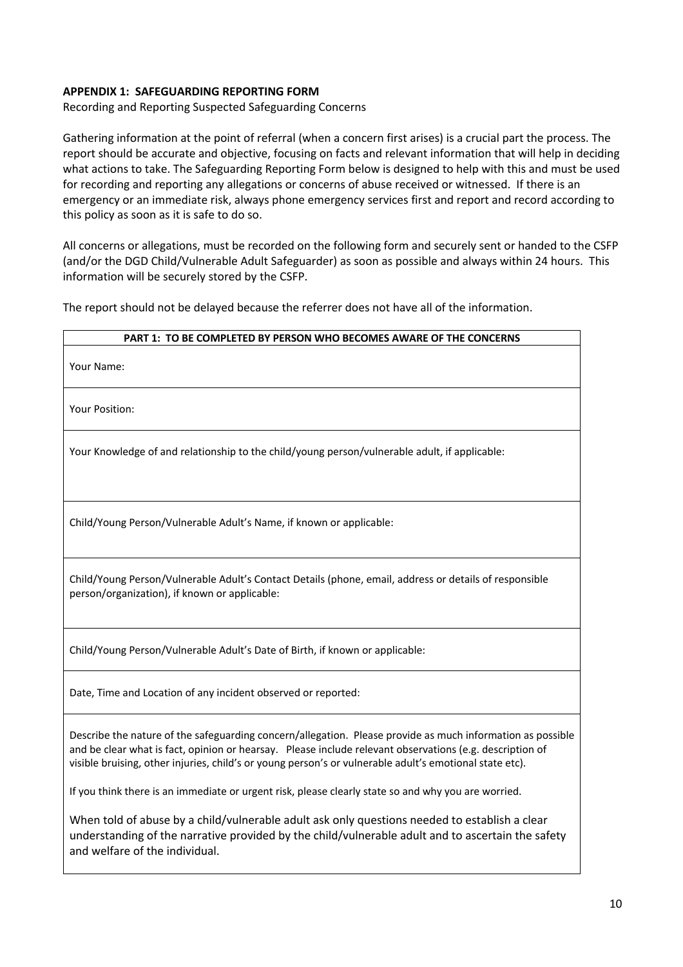## **APPENDIX 1: SAFEGUARDING REPORTING FORM**

Recording and Reporting Suspected Safeguarding Concerns

Gathering information at the point of referral (when a concern first arises) is a crucial part the process. The report should be accurate and objective, focusing on facts and relevant information that will help in deciding what actions to take. The Safeguarding Reporting Form below is designed to help with this and must be used for recording and reporting any allegations or concerns of abuse received or witnessed. If there is an emergency or an immediate risk, always phone emergency services first and report and record according to this policy as soon as it is safe to do so.

All concerns or allegations, must be recorded on the following form and securely sent or handed to the CSFP (and/or the DGD Child/Vulnerable Adult Safeguarder) as soon as possible and always within 24 hours. This information will be securely stored by the CSFP.

The report should not be delayed because the referrer does not have all of the information.

# **PART 1: TO BE COMPLETED BY PERSON WHO BECOMES AWARE OF THE CONCERNS** Your Name: Your Position: Your Knowledge of and relationship to the child/young person/vulnerable adult, if applicable: Child/Young Person/Vulnerable Adult's Name, if known or applicable: Child/Young Person/Vulnerable Adult's Contact Details (phone, email, address or details of responsible person/organization), if known or applicable: Child/Young Person/Vulnerable Adult's Date of Birth, if known or applicable: Date, Time and Location of any incident observed or reported: Describe the nature of the safeguarding concern/allegation. Please provide as much information as possible and be clear what is fact, opinion or hearsay. Please include relevant observations (e.g. description of

visible bruising, other injuries, child's or young person's or vulnerable adult's emotional state etc).

If you think there is an immediate or urgent risk, please clearly state so and why you are worried.

When told of abuse by a child/vulnerable adult ask only questions needed to establish a clear understanding of the narrative provided by the child/vulnerable adult and to ascertain the safety and welfare of the individual.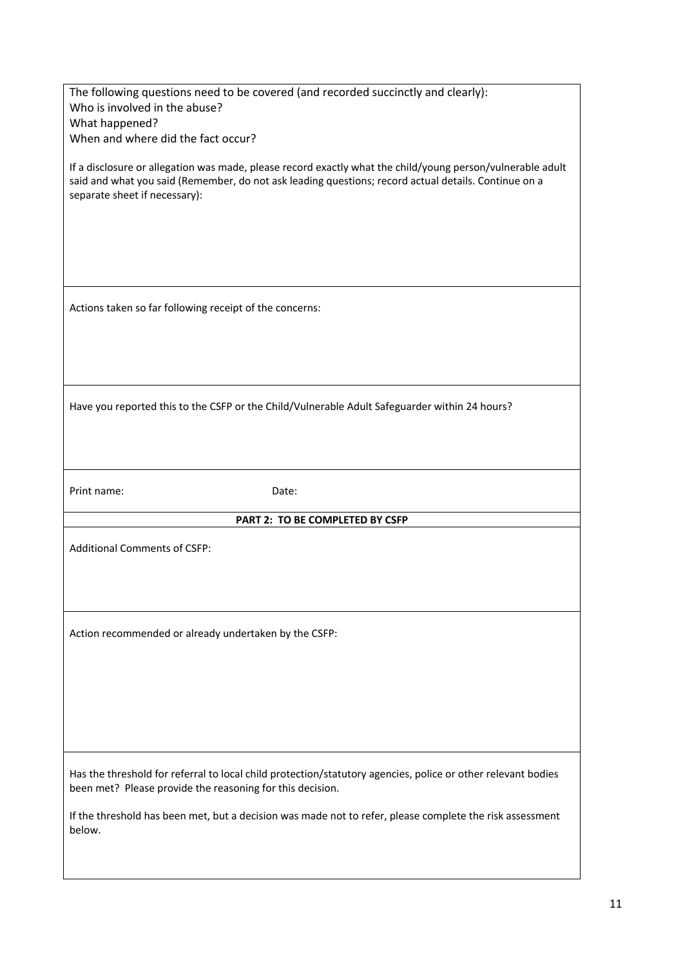| The following questions need to be covered (and recorded succinctly and clearly):                                                                                                                                                                   |  |  |
|-----------------------------------------------------------------------------------------------------------------------------------------------------------------------------------------------------------------------------------------------------|--|--|
|                                                                                                                                                                                                                                                     |  |  |
| Who is involved in the abuse?                                                                                                                                                                                                                       |  |  |
| What happened?                                                                                                                                                                                                                                      |  |  |
| When and where did the fact occur?                                                                                                                                                                                                                  |  |  |
|                                                                                                                                                                                                                                                     |  |  |
| If a disclosure or allegation was made, please record exactly what the child/young person/vulnerable adult<br>said and what you said (Remember, do not ask leading questions; record actual details. Continue on a<br>separate sheet if necessary): |  |  |
|                                                                                                                                                                                                                                                     |  |  |
|                                                                                                                                                                                                                                                     |  |  |
|                                                                                                                                                                                                                                                     |  |  |
|                                                                                                                                                                                                                                                     |  |  |
| Actions taken so far following receipt of the concerns:                                                                                                                                                                                             |  |  |
|                                                                                                                                                                                                                                                     |  |  |
|                                                                                                                                                                                                                                                     |  |  |
|                                                                                                                                                                                                                                                     |  |  |
| Have you reported this to the CSFP or the Child/Vulnerable Adult Safeguarder within 24 hours?                                                                                                                                                       |  |  |
|                                                                                                                                                                                                                                                     |  |  |
|                                                                                                                                                                                                                                                     |  |  |
|                                                                                                                                                                                                                                                     |  |  |
| Print name:<br>Date:                                                                                                                                                                                                                                |  |  |
| PART 2: TO BE COMPLETED BY CSFP                                                                                                                                                                                                                     |  |  |
|                                                                                                                                                                                                                                                     |  |  |
| <b>Additional Comments of CSFP:</b>                                                                                                                                                                                                                 |  |  |
|                                                                                                                                                                                                                                                     |  |  |
|                                                                                                                                                                                                                                                     |  |  |
|                                                                                                                                                                                                                                                     |  |  |
|                                                                                                                                                                                                                                                     |  |  |
|                                                                                                                                                                                                                                                     |  |  |
|                                                                                                                                                                                                                                                     |  |  |
|                                                                                                                                                                                                                                                     |  |  |
| Action recommended or already undertaken by the CSFP:                                                                                                                                                                                               |  |  |
|                                                                                                                                                                                                                                                     |  |  |
|                                                                                                                                                                                                                                                     |  |  |
|                                                                                                                                                                                                                                                     |  |  |
|                                                                                                                                                                                                                                                     |  |  |
|                                                                                                                                                                                                                                                     |  |  |
|                                                                                                                                                                                                                                                     |  |  |
|                                                                                                                                                                                                                                                     |  |  |
|                                                                                                                                                                                                                                                     |  |  |
| Has the threshold for referral to local child protection/statutory agencies, police or other relevant bodies<br>been met? Please provide the reasoning for this decision.                                                                           |  |  |
|                                                                                                                                                                                                                                                     |  |  |
| If the threshold has been met, but a decision was made not to refer, please complete the risk assessment                                                                                                                                            |  |  |
| below.                                                                                                                                                                                                                                              |  |  |
|                                                                                                                                                                                                                                                     |  |  |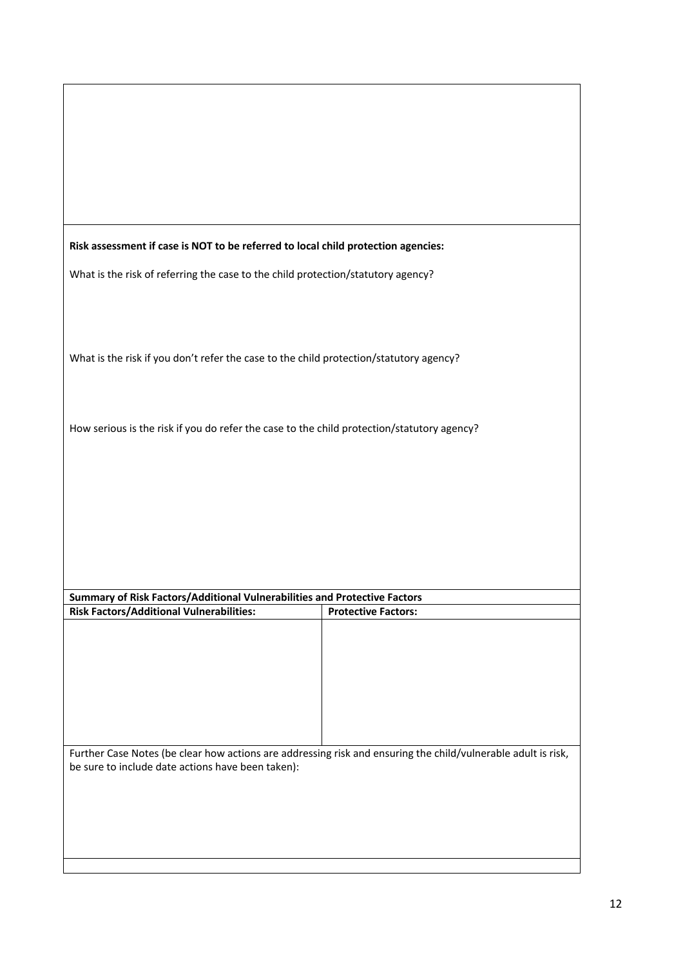| Risk assessment if case is NOT to be referred to local child protection agencies:                                                                                  |  |  |
|--------------------------------------------------------------------------------------------------------------------------------------------------------------------|--|--|
| What is the risk of referring the case to the child protection/statutory agency?                                                                                   |  |  |
|                                                                                                                                                                    |  |  |
|                                                                                                                                                                    |  |  |
| What is the risk if you don't refer the case to the child protection/statutory agency?                                                                             |  |  |
|                                                                                                                                                                    |  |  |
| How serious is the risk if you do refer the case to the child protection/statutory agency?                                                                         |  |  |
|                                                                                                                                                                    |  |  |
|                                                                                                                                                                    |  |  |
|                                                                                                                                                                    |  |  |
|                                                                                                                                                                    |  |  |
|                                                                                                                                                                    |  |  |
| Summary of Risk Factors/Additional Vulnerabilities and Protective Factors                                                                                          |  |  |
| <b>Risk Factors/Additional Vulnerabilities:</b><br><b>Protective Factors:</b>                                                                                      |  |  |
|                                                                                                                                                                    |  |  |
|                                                                                                                                                                    |  |  |
|                                                                                                                                                                    |  |  |
|                                                                                                                                                                    |  |  |
| Further Case Notes (be clear how actions are addressing risk and ensuring the child/vulnerable adult is risk,<br>be sure to include date actions have been taken): |  |  |
|                                                                                                                                                                    |  |  |
|                                                                                                                                                                    |  |  |
|                                                                                                                                                                    |  |  |